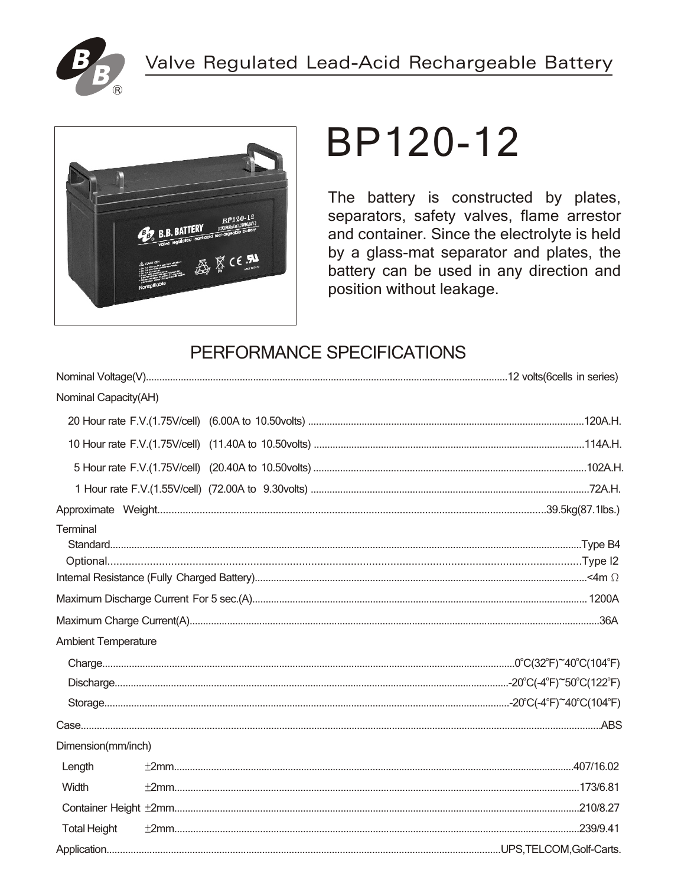



# BP120-12

The battery is constructed by plates, separators, safety valves, flame arrestor and container. Since the electrolyte is held by a glass-mat separator and plates, the battery can be used in any direction and position without leakage.

# PERFORMANCE SPECIFICATIONS

| Nominal Capacity(AH)       |  |
|----------------------------|--|
|                            |  |
|                            |  |
|                            |  |
|                            |  |
|                            |  |
| Terminal                   |  |
|                            |  |
|                            |  |
| <b>Ambient Temperature</b> |  |
|                            |  |
|                            |  |
|                            |  |
|                            |  |
| Dimension(mm/inch)         |  |
| Length                     |  |
| Width                      |  |
|                            |  |
| <b>Total Height</b>        |  |
|                            |  |